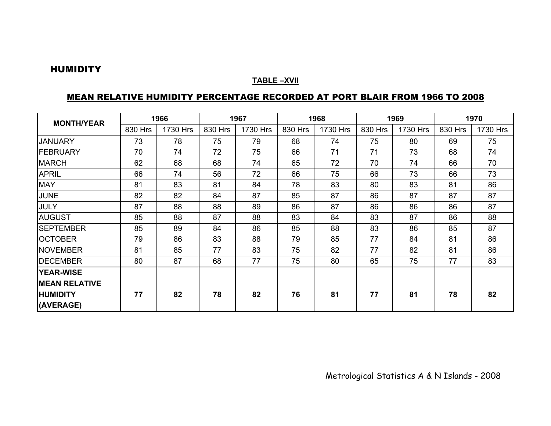#### HUMIDITY

#### **TABLE –XVII**

#### MEAN RELATIVE HUMIDITY PERCENTAGE RECORDED AT PORT BLAIR FROM 1966 TO 2008

| <b>MONTH/YEAR</b>     | 1966    |          | 1967    |          | 1968    |          | 1969    |          | 1970    |          |
|-----------------------|---------|----------|---------|----------|---------|----------|---------|----------|---------|----------|
|                       | 830 Hrs | 1730 Hrs | 830 Hrs | 1730 Hrs | 830 Hrs | 1730 Hrs | 830 Hrs | 1730 Hrs | 830 Hrs | 1730 Hrs |
| <b>JANUARY</b>        | 73      | 78       | 75      | 79       | 68      | 74       | 75      | 80       | 69      | 75       |
| <b>FEBRUARY</b>       | 70      | 74       | 72      | 75       | 66      | 71       | 71      | 73       | 68      | 74       |
| <b>MARCH</b>          | 62      | 68       | 68      | 74       | 65      | 72       | 70      | 74       | 66      | 70       |
| <b>APRIL</b>          | 66      | 74       | 56      | 72       | 66      | 75       | 66      | 73       | 66      | 73       |
| <b>MAY</b>            | 81      | 83       | 81      | 84       | 78      | 83       | 80      | 83       | 81      | 86       |
| <b>JUNE</b>           | 82      | 82       | 84      | 87       | 85      | 87       | 86      | 87       | 87      | 87       |
| <b>JULY</b>           | 87      | 88       | 88      | 89       | 86      | 87       | 86      | 86       | 86      | 87       |
| <b>AUGUST</b>         | 85      | 88       | 87      | 88       | 83      | 84       | 83      | 87       | 86      | 88       |
| <b>SEPTEMBER</b>      | 85      | 89       | 84      | 86       | 85      | 88       | 83      | 86       | 85      | 87       |
| <b>OCTOBER</b>        | 79      | 86       | 83      | 88       | 79      | 85       | 77      | 84       | 81      | 86       |
| <b>NOVEMBER</b>       | 81      | 85       | 77      | 83       | 75      | 82       | 77      | 82       | 81      | 86       |
| <b>IDECEMBER</b>      | 80      | 87       | 68      | 77       | 75      | 80       | 65      | 75       | 77      | 83       |
| <b>YEAR-WISE</b>      |         |          |         |          |         |          |         |          |         |          |
| <b>IMEAN RELATIVE</b> |         |          |         |          |         |          |         |          |         |          |
| <b>HUMIDITY</b>       | 77      | 82       | 78      | 82       | 76      | 81       | 77      | 81       | 78      | 82       |
| (AVERAGE)             |         |          |         |          |         |          |         |          |         |          |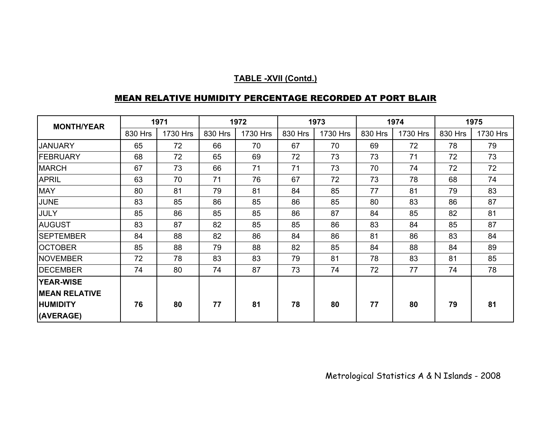| <b>MONTH/YEAR</b>    | 1971    |          | 1972    |          | 1973    |          | 1974    |          | 1975    |          |
|----------------------|---------|----------|---------|----------|---------|----------|---------|----------|---------|----------|
|                      | 830 Hrs | 1730 Hrs | 830 Hrs | 1730 Hrs | 830 Hrs | 1730 Hrs | 830 Hrs | 1730 Hrs | 830 Hrs | 1730 Hrs |
| <b>JANUARY</b>       | 65      | 72       | 66      | 70       | 67      | 70       | 69      | 72       | 78      | 79       |
| FEBRUARY             | 68      | 72       | 65      | 69       | 72      | 73       | 73      | 71       | 72      | 73       |
| <b>MARCH</b>         | 67      | 73       | 66      | 71       | 71      | 73       | 70      | 74       | 72      | 72       |
| <b>APRIL</b>         | 63      | 70       | 71      | 76       | 67      | 72       | 73      | 78       | 68      | 74       |
| <b>MAY</b>           | 80      | 81       | 79      | 81       | 84      | 85       | 77      | 81       | 79      | 83       |
| <b>JUNE</b>          | 83      | 85       | 86      | 85       | 86      | 85       | 80      | 83       | 86      | 87       |
| <b>JULY</b>          | 85      | 86       | 85      | 85       | 86      | 87       | 84      | 85       | 82      | 81       |
| <b>AUGUST</b>        | 83      | 87       | 82      | 85       | 85      | 86       | 83      | 84       | 85      | 87       |
| <b>SEPTEMBER</b>     | 84      | 88       | 82      | 86       | 84      | 86       | 81      | 86       | 83      | 84       |
| <b>OCTOBER</b>       | 85      | 88       | 79      | 88       | 82      | 85       | 84      | 88       | 84      | 89       |
| <b>NOVEMBER</b>      | 72      | 78       | 83      | 83       | 79      | 81       | 78      | 83       | 81      | 85       |
| <b>DECEMBER</b>      | 74      | 80       | 74      | 87       | 73      | 74       | 72      | 77       | 74      | 78       |
| <b>YEAR-WISE</b>     |         |          |         |          |         |          |         |          |         |          |
| <b>MEAN RELATIVE</b> |         |          |         |          |         |          |         |          |         |          |
| <b>HUMIDITY</b>      | 76      | 80       | 77      | 81       | 78      | 80       | 77      | 80       | 79      | 81       |
| (AVERAGE)            |         |          |         |          |         |          |         |          |         |          |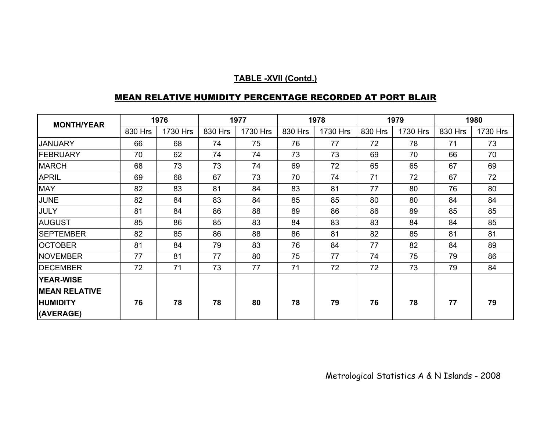| <b>MONTH/YEAR</b>    | 1976    |          | 1977    |          | 1978    |          | 1979    |          | 1980    |          |
|----------------------|---------|----------|---------|----------|---------|----------|---------|----------|---------|----------|
|                      | 830 Hrs | 1730 Hrs | 830 Hrs | 1730 Hrs | 830 Hrs | 1730 Hrs | 830 Hrs | 1730 Hrs | 830 Hrs | 1730 Hrs |
| <b>JANUARY</b>       | 66      | 68       | 74      | 75       | 76      | 77       | 72      | 78       | 71      | 73       |
| <b>FEBRUARY</b>      | 70      | 62       | 74      | 74       | 73      | 73       | 69      | 70       | 66      | 70       |
| <b>MARCH</b>         | 68      | 73       | 73      | 74       | 69      | 72       | 65      | 65       | 67      | 69       |
| <b>APRIL</b>         | 69      | 68       | 67      | 73       | 70      | 74       | 71      | 72       | 67      | 72       |
| <b>MAY</b>           | 82      | 83       | 81      | 84       | 83      | 81       | 77      | 80       | 76      | 80       |
| <b>JUNE</b>          | 82      | 84       | 83      | 84       | 85      | 85       | 80      | 80       | 84      | 84       |
| <b>JULY</b>          | 81      | 84       | 86      | 88       | 89      | 86       | 86      | 89       | 85      | 85       |
| <b>AUGUST</b>        | 85      | 86       | 85      | 83       | 84      | 83       | 83      | 84       | 84      | 85       |
| <b>SEPTEMBER</b>     | 82      | 85       | 86      | 88       | 86      | 81       | 82      | 85       | 81      | 81       |
| <b>OCTOBER</b>       | 81      | 84       | 79      | 83       | 76      | 84       | 77      | 82       | 84      | 89       |
| <b>NOVEMBER</b>      | 77      | 81       | 77      | 80       | 75      | 77       | 74      | 75       | 79      | 86       |
| <b>DECEMBER</b>      | 72      | 71       | 73      | 77       | 71      | 72       | 72      | 73       | 79      | 84       |
| <b>YEAR-WISE</b>     |         |          |         |          |         |          |         |          |         |          |
| <b>MEAN RELATIVE</b> |         |          |         |          |         |          |         |          |         |          |
| <b>HUMIDITY</b>      | 76      | 78       | 78      | 80       | 78      | 79       | 76      | 78       | 77      | 79       |
| (AVERAGE)            |         |          |         |          |         |          |         |          |         |          |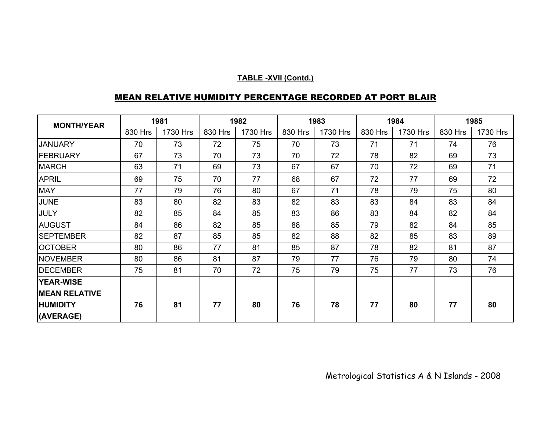| <b>MONTH/YEAR</b>    | 1981    |          | 1982    |          | 1983    |          | 1984    |          | 1985    |          |
|----------------------|---------|----------|---------|----------|---------|----------|---------|----------|---------|----------|
|                      | 830 Hrs | 1730 Hrs | 830 Hrs | 1730 Hrs | 830 Hrs | 1730 Hrs | 830 Hrs | 1730 Hrs | 830 Hrs | 1730 Hrs |
| <b>JANUARY</b>       | 70      | 73       | 72      | 75       | 70      | 73       | 71      | 71       | 74      | 76       |
| FEBRUARY             | 67      | 73       | 70      | 73       | 70      | 72       | 78      | 82       | 69      | 73       |
| <b>MARCH</b>         | 63      | 71       | 69      | 73       | 67      | 67       | 70      | 72       | 69      | 71       |
| <b>APRIL</b>         | 69      | 75       | 70      | 77       | 68      | 67       | 72      | 77       | 69      | 72       |
| <b>MAY</b>           | 77      | 79       | 76      | 80       | 67      | 71       | 78      | 79       | 75      | 80       |
| <b>JUNE</b>          | 83      | 80       | 82      | 83       | 82      | 83       | 83      | 84       | 83      | 84       |
| <b>JULY</b>          | 82      | 85       | 84      | 85       | 83      | 86       | 83      | 84       | 82      | 84       |
| <b>AUGUST</b>        | 84      | 86       | 82      | 85       | 88      | 85       | 79      | 82       | 84      | 85       |
| <b>SEPTEMBER</b>     | 82      | 87       | 85      | 85       | 82      | 88       | 82      | 85       | 83      | 89       |
| <b>OCTOBER</b>       | 80      | 86       | 77      | 81       | 85      | 87       | 78      | 82       | 81      | 87       |
| <b>NOVEMBER</b>      | 80      | 86       | 81      | 87       | 79      | 77       | 76      | 79       | 80      | 74       |
| <b>DECEMBER</b>      | 75      | 81       | 70      | 72       | 75      | 79       | 75      | 77       | 73      | 76       |
| <b>YEAR-WISE</b>     |         |          |         |          |         |          |         |          |         |          |
| <b>MEAN RELATIVE</b> |         |          |         |          |         |          |         |          |         |          |
| <b>HUMIDITY</b>      | 76      | 81       | 77      | 80       | 76      | 78       | 77      | 80       | 77      | 80       |
| (AVERAGE)            |         |          |         |          |         |          |         |          |         |          |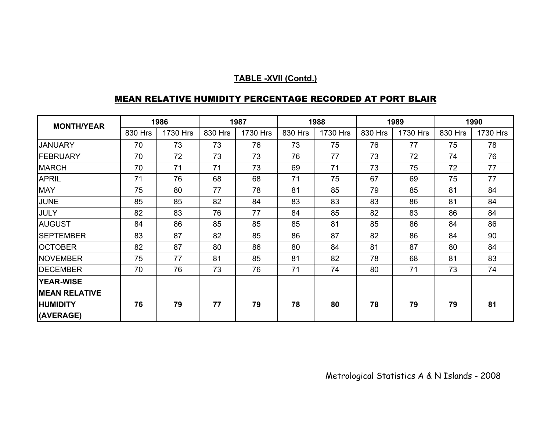| <b>MONTH/YEAR</b>    | 1986    |          | 1987    |          | 1988    |          | 1989    |          | 1990    |          |
|----------------------|---------|----------|---------|----------|---------|----------|---------|----------|---------|----------|
|                      | 830 Hrs | 1730 Hrs | 830 Hrs | 1730 Hrs | 830 Hrs | 1730 Hrs | 830 Hrs | 1730 Hrs | 830 Hrs | 1730 Hrs |
| <b>JANUARY</b>       | 70      | 73       | 73      | 76       | 73      | 75       | 76      | 77       | 75      | 78       |
| FEBRUARY             | 70      | 72       | 73      | 73       | 76      | 77       | 73      | 72       | 74      | 76       |
| <b>MARCH</b>         | 70      | 71       | 71      | 73       | 69      | 71       | 73      | 75       | 72      | 77       |
| <b>APRIL</b>         | 71      | 76       | 68      | 68       | 71      | 75       | 67      | 69       | 75      | 77       |
| <b>MAY</b>           | 75      | 80       | 77      | 78       | 81      | 85       | 79      | 85       | 81      | 84       |
| <b>JUNE</b>          | 85      | 85       | 82      | 84       | 83      | 83       | 83      | 86       | 81      | 84       |
| JULY                 | 82      | 83       | 76      | 77       | 84      | 85       | 82      | 83       | 86      | 84       |
| <b>AUGUST</b>        | 84      | 86       | 85      | 85       | 85      | 81       | 85      | 86       | 84      | 86       |
| <b>SEPTEMBER</b>     | 83      | 87       | 82      | 85       | 86      | 87       | 82      | 86       | 84      | 90       |
| <b>OCTOBER</b>       | 82      | 87       | 80      | 86       | 80      | 84       | 81      | 87       | 80      | 84       |
| <b>NOVEMBER</b>      | 75      | 77       | 81      | 85       | 81      | 82       | 78      | 68       | 81      | 83       |
| <b>DECEMBER</b>      | 70      | 76       | 73      | 76       | 71      | 74       | 80      | 71       | 73      | 74       |
| <b>YEAR-WISE</b>     |         |          |         |          |         |          |         |          |         |          |
| <b>MEAN RELATIVE</b> |         |          |         |          |         |          |         |          |         |          |
| <b>HUMIDITY</b>      | 76      | 79       | 77      | 79       | 78      | 80       | 78      | 79       | 79      | 81       |
| (AVERAGE)            |         |          |         |          |         |          |         |          |         |          |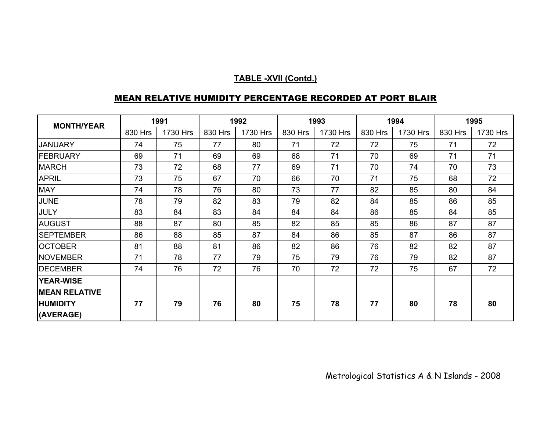| <b>MONTH/YEAR</b>    | 1991    |          | 1992    |          | 1993    |          | 1994    |          | 1995    |          |
|----------------------|---------|----------|---------|----------|---------|----------|---------|----------|---------|----------|
|                      | 830 Hrs | 1730 Hrs | 830 Hrs | 1730 Hrs | 830 Hrs | 1730 Hrs | 830 Hrs | 1730 Hrs | 830 Hrs | 1730 Hrs |
| <b>JANUARY</b>       | 74      | 75       | 77      | 80       | 71      | 72       | 72      | 75       | 71      | 72       |
| <b>FEBRUARY</b>      | 69      | 71       | 69      | 69       | 68      | 71       | 70      | 69       | 71      | 71       |
| <b>MARCH</b>         | 73      | 72       | 68      | 77       | 69      | 71       | 70      | 74       | 70      | 73       |
| <b>APRIL</b>         | 73      | 75       | 67      | 70       | 66      | 70       | 71      | 75       | 68      | 72       |
| <b>MAY</b>           | 74      | 78       | 76      | 80       | 73      | 77       | 82      | 85       | 80      | 84       |
| <b>JUNE</b>          | 78      | 79       | 82      | 83       | 79      | 82       | 84      | 85       | 86      | 85       |
| <b>JULY</b>          | 83      | 84       | 83      | 84       | 84      | 84       | 86      | 85       | 84      | 85       |
| <b>AUGUST</b>        | 88      | 87       | 80      | 85       | 82      | 85       | 85      | 86       | 87      | 87       |
| <b>SEPTEMBER</b>     | 86      | 88       | 85      | 87       | 84      | 86       | 85      | 87       | 86      | 87       |
| <b>OCTOBER</b>       | 81      | 88       | 81      | 86       | 82      | 86       | 76      | 82       | 82      | 87       |
| <b>NOVEMBER</b>      | 71      | 78       | 77      | 79       | 75      | 79       | 76      | 79       | 82      | 87       |
| <b>DECEMBER</b>      | 74      | 76       | 72      | 76       | 70      | 72       | 72      | 75       | 67      | 72       |
| <b>YEAR-WISE</b>     |         |          |         |          |         |          |         |          |         |          |
| <b>MEAN RELATIVE</b> |         |          |         |          |         |          |         |          |         |          |
| <b>HUMIDITY</b>      | 77      | 79       | 76      | 80       | 75      | 78       | 77      | 80       | 78      | 80       |
| (AVERAGE)            |         |          |         |          |         |          |         |          |         |          |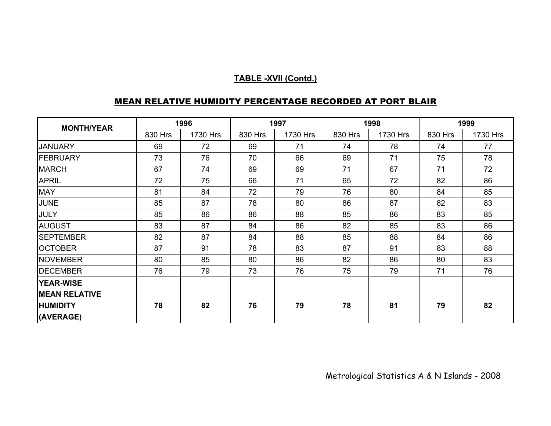| <b>MONTH/YEAR</b>    | 1996    |          | 1997    |          |         | 1998     | 1999    |          |  |
|----------------------|---------|----------|---------|----------|---------|----------|---------|----------|--|
|                      | 830 Hrs | 1730 Hrs | 830 Hrs | 1730 Hrs | 830 Hrs | 1730 Hrs | 830 Hrs | 1730 Hrs |  |
| <b>JANUARY</b>       | 69      | 72       | 69      | 71       | 74      | 78       | 74      | 77       |  |
| FEBRUARY             | 73      | 76       | 70      | 66       | 69      | 71       | 75      | 78       |  |
| <b>MARCH</b>         | 67      | 74       | 69      | 69       | 71      | 67       | 71      | 72       |  |
| <b>APRIL</b>         | 72      | 75       | 66      | 71       | 65      | 72       | 82      | 86       |  |
| <b>MAY</b>           | 81      | 84       | 72      | 79       | 76      | 80       | 84      | 85       |  |
| <b>JUNE</b>          | 85      | 87       | 78      | 80       | 86      | 87       | 82      | 83       |  |
| <b>JULY</b>          | 85      | 86       | 86      | 88       | 85      | 86       | 83      | 85       |  |
| <b>AUGUST</b>        | 83      | 87       | 84      | 86       | 82      | 85       | 83      | 86       |  |
| <b>SEPTEMBER</b>     | 82      | 87       | 84      | 88       | 85      | 88       | 84      | 86       |  |
| <b>OCTOBER</b>       | 87      | 91       | 78      | 83       | 87      | 91       | 83      | 88       |  |
| <b>NOVEMBER</b>      | 80      | 85       | 80      | 86       | 82      | 86       | 80      | 83       |  |
| <b>DECEMBER</b>      | 76      | 79       | 73      | 76       | 75      | 79       | 71      | 76       |  |
| <b>YEAR-WISE</b>     |         |          |         |          |         |          |         |          |  |
| <b>MEAN RELATIVE</b> |         |          |         |          |         |          |         |          |  |
| <b>HUMIDITY</b>      | 78      | 82       | 76      | 79       | 78      | 81       | 79      | 82       |  |
| (AVERAGE)            |         |          |         |          |         |          |         |          |  |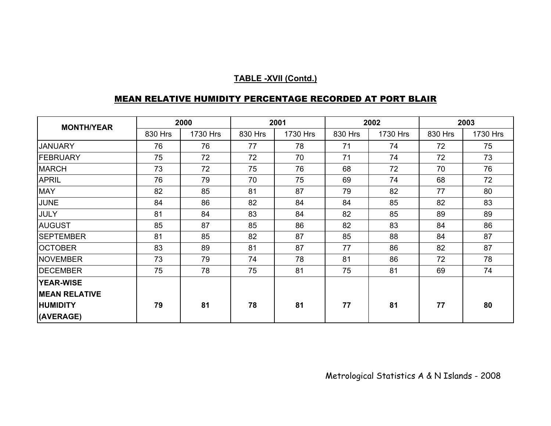| <b>MONTH/YEAR</b>    |         | 2000     |         | 2001     |         | 2002     | 2003    |          |  |
|----------------------|---------|----------|---------|----------|---------|----------|---------|----------|--|
|                      | 830 Hrs | 1730 Hrs | 830 Hrs | 1730 Hrs | 830 Hrs | 1730 Hrs | 830 Hrs | 1730 Hrs |  |
| <b>JANUARY</b>       | 76      | 76       | 77      | 78       | 71      | 74       | 72      | 75       |  |
| <b>FEBRUARY</b>      | 75      | 72       | 72      | 70       | 71      | 74       | 72      | 73       |  |
| <b>MARCH</b>         | 73      | 72       | 75      | 76       | 68      | 72       | 70      | 76       |  |
| <b>APRIL</b>         | 76      | 79       | 70      | 75       | 69      | 74       | 68      | 72       |  |
| <b>MAY</b>           | 82      | 85       | 81      | 87       | 79      | 82       | 77      | 80       |  |
| <b>JUNE</b>          | 84      | 86       | 82      | 84       | 84      | 85       | 82      | 83       |  |
| <b>JULY</b>          | 81      | 84       | 83      | 84       | 82      | 85       | 89      | 89       |  |
| <b>AUGUST</b>        | 85      | 87       | 85      | 86       | 82      | 83       | 84      | 86       |  |
| <b>SEPTEMBER</b>     | 81      | 85       | 82      | 87       | 85      | 88       | 84      | 87       |  |
| <b>OCTOBER</b>       | 83      | 89       | 81      | 87       | 77      | 86       | 82      | 87       |  |
| <b>NOVEMBER</b>      | 73      | 79       | 74      | 78       | 81      | 86       | 72      | 78       |  |
| <b>DECEMBER</b>      | 75      | 78       | 75      | 81       | 75      | 81       | 69      | 74       |  |
| <b>YEAR-WISE</b>     |         |          |         |          |         |          |         |          |  |
| <b>MEAN RELATIVE</b> |         |          |         |          |         |          |         |          |  |
| <b>HUMIDITY</b>      | 79      | 81       | 78      | 81       | 77      | 81       | 77      | 80       |  |
| (AVERAGE)            |         |          |         |          |         |          |         |          |  |